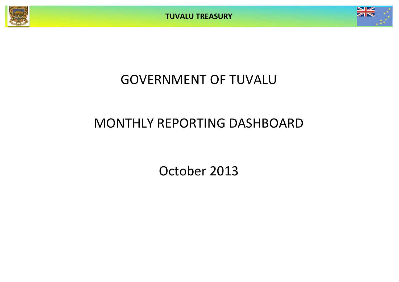



## GOVERNMENT OF TUVALU

# MONTHLY REPORTING DASHBOARD

October 2013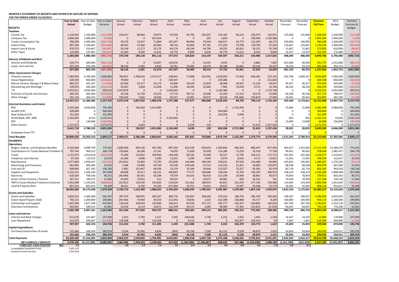#### **MONTHLY STATEMENT OF RECEIPTS AND PAYENTS BY NATURE OF EXPENSE**

**FOR THE PERIOD ENDED 31/10/2013**

|                                                                                   | <b>Year to Date</b> | Year to Date  | Year to Date | January      | February       | March        | April     | May            | June           | July       | August     | September     | October   | November       | December   | <b>Forecast</b>        | 2013          | Variance      |
|-----------------------------------------------------------------------------------|---------------------|---------------|--------------|--------------|----------------|--------------|-----------|----------------|----------------|------------|------------|---------------|-----------|----------------|------------|------------------------|---------------|---------------|
|                                                                                   | <b>Actual</b>       | Budget        | Variance     | Actual       | Actual         | Actual       | Actual    | Actual         | Actual         | Actual     | Actual     | Actual        | Actual    | Forecast       | Forecast   | <b>Full Year</b>       | Budget        | Forecast &    |
| <b>RECEIPTS</b>                                                                   |                     |               |              |              |                |              |           |                |                |            |            |               |           |                |            |                        |               | <b>Budget</b> |
|                                                                                   |                     |               |              |              |                |              |           |                |                |            |            |               |           |                |            |                        |               |               |
| <b>Taxation</b>                                                                   |                     |               |              |              |                |              |           |                |                |            |            |               |           |                |            |                        |               |               |
| Income Tax                                                                        | 1,118,402           | 1,250,000     | (131, 598)   | 229,427      | 88,664         | 59,875       | 97,934    | 94,784         | 104,297        | 141,185    | 96,216     | 103,970       | 102,051   | 125,000        | 125,000    | 1,368,402              | 1,500,000     | $-131,59$     |
| Company Tax                                                                       | 1,894,394           | 1,900,000     | (5,606)      | $\Omega$     | $\Omega$       | 631,654      | $\Omega$  | $\Omega$       | 335            | 1,820      | $\Omega$   | 100,000       | 1,160,586 | - 0            |            | 1,894,394              | 1,900,000     | $-5,60$       |
|                                                                                   |                     |               |              |              |                |              |           |                |                |            |            |               |           |                | 100,000    |                        |               |               |
| <b>Tuvalu Consumption Tax</b>                                                     | 780,290             | 1,000,000     | (219, 710)   | 29,578       | 33,037         | 71,804       | 105,357   | 80,956         | 70,330         | 166,017    | 54,773     | 122,264       | 46,173    | 100,000        |            | 980,290                | 1,200,000     | $-219,71$     |
| <b>Import Duty</b>                                                                | 897,200             | 1,166,667     | (269, 466)   | 48,955       | 47,666         | 83,960       | 98,733    | 91,860         | 87,781         | 171,243    | 79,798     | 139,769       | 47,436    | 116,667        | 116,667    | 1,130,534              | 1,400,000     | $-269,46$     |
| Import Levy & Excise                                                              | 470,570             | 516,667       | (46,097)     | 50,149       | 11,272         | 32,170       | 64,274    | 48,244         | 44,796         | 49,555     | 60,813     | 56,552        | 52,746    | 51,667         | 51,667     | 573,903                | 620,000       | $-46,09$      |
|                                                                                   | 122.830             |               | (24.23)      | 12.650       |                | 11.652       | 10.774    | 8.980          |                | 34,778     | 11.612     | 8.424         | 8.840     |                | 14.707     | 152.243                | 176.480       | $-24.23$      |
| <b>Other Taxes</b>                                                                |                     | 147,067       |              |              | 8,500          |              |           |                | 6,620          |            |            |               |           | 14,707         |            |                        |               |               |
|                                                                                   | 5,283,686           | 5,980,400     | (696, 714)   | 370,758      | 189,138        | 891,116      | 377,072   | 324,824        | 314,159        | 564,597    | 303,211    | 530,980       | 1,417,832 | 408,040        | 408,040    | 6,099,766              | 6,796,480     | (696, 714)    |
| <b>Interest, Dividends and Rent</b>                                               |                     |               |              |              |                |              |           |                |                |            |            |               |           |                |            |                        |               |               |
|                                                                                   | 219,775             |               | (380, 225)   | $\Omega$     | $\Omega$       |              | 128,676   | $\Omega$       | 12,035         | 9,543      | $\Omega$   |               |           |                | 60,000     |                        | 1,312,000     |               |
| <b>Interest and Dividends</b>                                                     |                     | 600,000       |              |              |                | 54,837       |           |                |                |            |            | 6,882         | 7,802     | 652,000        |            | 931,775                |               | $-380,22!$    |
| Lease, rent and hire                                                              | 207,230             | 292.294       | (85,065      | 38,136       | 5,281          | 6,833        | 18,761    | 29,483         | 18,479         | 28,188     | 25,661     | 20,169        | 16,237    | 29,229         | 29.229     | 265.688                | 350.753       | $-85.06$      |
|                                                                                   | 427,005             | 892,294       | 465,289      | 38,136       | 5,281          | 61,670       | 147,437   | 29,483         | 30,514         | 37,732     | 25,661     | 27,052        | 24,039    | 681,229        | 89,229     | 1,197,464              | 1,662,753     | (465, 289)    |
|                                                                                   |                     |               |              |              |                |              |           |                |                |            |            |               |           |                |            |                        |               |               |
| <b>Other Government Charges</b>                                                   |                     |               |              |              |                |              |           |                |                |            |            |               |           |                |            |                        |               |               |
| <b>Fisheries Licenses</b>                                                         | 7,383,930           | 4,783,038     | 2,600,893    | 760,872      | 2,766,616      | 1,373,517    | 108,641   | 57,898         | 332,091        | 1,018,054  | 47,818     | 646,281       | 272,142   | 262,796        | 2,004,167  | 9,650,893              | 7,050,000     | 2,600,893     |
| <b>Vessel Registrations</b>                                                       | 639,338             | 850,000       | (210.662     | 79,900       | $\Omega$       | $\Omega$     | 102,507   | $\Omega$       | $\sqrt{ }$     | 245,086    | $\Omega$   | $\Omega$      | 211,844   | $\Omega$       |            | 639,338                | 850,000       | $-210,66$     |
|                                                                                   |                     |               |              |              |                |              |           |                |                |            |            |               |           |                |            |                        |               |               |
| Marine Services (Nivaga II & Manu Folau)                                          | 383,137             | 454,167       | (71,030)     | 65,958       | 55,177         | 43,173       | 35,804    | 38,420         | 15,854         | 38,968     | 44.501     | 11,226        | 34,057    | 45,417         | 45,417     | 473,970                | 545,000       | $-71,03$      |
| Stevedoring and Wharfage                                                          | 149,976             | 282,500       | (132, 524)   | 29,367       | 5,828          | 21,058       | 12,406    | 18,356         | 10,660         | 7,902      | 19,078     | 9,572         | 15,748    | 28,250         | 28,250     | 206,476                | 339,000       | $-132,52$     |
| TV.                                                                               | 4,355,012           | 4,050,000     | 305,012      | 1,019,878    | $\Omega$       | $\Omega$     | 1.030.003 | $\Omega$       | $\Omega$       | 1,169,384  | $\Omega$   | $\Omega$      | 1,135,748 | $\overline{0}$ |            | 4,355,012              | 4,050,000     | 305,012       |
|                                                                                   |                     |               |              |              |                |              |           |                |                |            |            |               |           |                |            |                        | 798,437       |               |
| Provision of Goods and Services                                                   | 344,701             | 665,364       | (320, 663)   | 19,238       | 21,750         | 33,023       | 27,770    | 99,712         | 18,390         | 31,429     | 51,522     | 19,170        | 22,696    | 66,536         | 66,536     | 477,773                |               | $-320,66$     |
| <b>Other Charges</b>                                                              | 291.124             | 304.414       | (13.290)     | 100.364      | 7.662          | 18.606       | 60.157    | 13.091         | 29.072         | 18.536     | (78.184)   | 103.870       | 17.949    | 30.441         | 30.441     | 352.007                | 365.296       | $-13.29$      |
|                                                                                   | 13,547,217          | 11,389,482    | 2,157,735    | 2,075,578    | 2,857,032      | 1,489,378    | 1,377,288 | 227,477        | 406,068        | 2,529,359  | 84,735     | 790,119       | 1,710,183 | 433,440        | 2,174,811  | 16,155,468             | 13,997,733    | 2,157,735     |
| <b>External Assistance and Grants</b>                                             |                     |               |              |              |                |              |           |                |                |            |            |               |           |                |            |                        |               |               |
|                                                                                   |                     |               |              |              |                |              |           |                |                |            |            |               |           |                |            |                        |               |               |
| <b>ROC</b>                                                                        | 5,355,306           | 4,650,000     | 705,306      | $\Omega$     | 190,483        | 2,421,883    | $\Omega$  | $\Omega$       | $\sqrt{ }$     | $\Omega$   | 2,742,940  | $\Omega$      |           | 15,000         | 15,000     | 5,385,306              | 4,680,000     | 705,306       |
| AusAID (CIF                                                                       | 500,000             | $\Omega$      | 500,000      | $\Omega$     | $\Omega$       | $\Omega$     | $\Omega$  | $\mathsf{C}$   | $\Omega$       | 500,000    | $\Omega$   | $\Omega$      |           | 0              |            | 500,000                | $\Omega$      | 500,000       |
|                                                                                   | 351,095             | $\Omega$      | 351,095      | $\mathbf 0$  | $\overline{0}$ | $\mathbf{0}$ | $\Omega$  | $\Omega$       | $\overline{0}$ | 342,056    | 9,040      | $\mathbf 0$   |           | $\mathbf 0$    | $\sqrt{ }$ | 351,095                | - 0           | 351,095       |
| New Zealand (CIF                                                                  |                     |               |              |              |                |              |           |                |                |            |            |               |           |                |            |                        |               |               |
| World Bank, IMF, ADB                                                              | 2,163,645           | 8.333         | 2.155.312    | $\Omega$     | $\Omega$       | $\Omega$     | 2.163.645 | $\Omega$       | $\Omega$       | $\Omega$   | $\sqrt{ }$ | $\Omega$      |           | 833            | 833        | 2,165,312              | 10.000        | 2,155,312     |
| PDF                                                                               |                     | 130,000       | (130,000)    | $\Omega$     | $\Omega$       | $\Omega$     | $\Omega$  | $\Omega$       | $\Omega$       | $\Omega$   | $\Omega$   | $\Omega$      |           | 13,000         | 13,000     | 26,000                 | 156,000       | $-130,000$    |
| <b>Other Donors</b>                                                               | 1,271,672           | $\Omega$      | 1,271,672    | $\Omega$     | 6,454          | $\Omega$     | $\Omega$  | 6,039          | 120            | $\Omega$   | $\sqrt{ }$ | 31,623        | 1,227,436 | $\Omega$       |            | 1.271.672              | $\Omega$      | 1,271,672     |
|                                                                                   |                     |               |              |              |                |              |           |                |                |            |            |               |           |                |            |                        |               |               |
|                                                                                   | 9,641,718           | 4,788,333     | 4,853,385    | $\mathbf{0}$ | 196,937        | 2,421,883    | 2,163,645 | 6,039          | 120            | 842,056    | 2,751,980  | 31,623        | 1,227,436 | 28,833         | 28,833     | 9,699,385              | 4,846,000     | 4,853,385     |
| Drawdown from TTF                                                                 | $\Omega$            | $\Omega$      |              | $\mathbf{0}$ | $\Omega$       | $\Omega$     | $\Omega$  | $\overline{0}$ | $\mathbf 0$    | $\Omega$   | $\Omega$   | $\Omega$      |           | $\overline{0}$ |            | ി                      | $\Omega$      |               |
|                                                                                   |                     |               |              |              |                |              |           |                |                |            |            |               |           |                |            |                        |               |               |
| <b>Total Receipts</b>                                                             | 28,899,626          | 23,050,510    | 5,849,117    | 2,484,471    | 3,248,389      | 4,864,047    | 4,065,442 | 587,822        | 750,860        | 3,973,743  | 3,165,587  | 1,379,774     | 4,379,490 | 1,551,543      | 2,700,914  | 33,152,083             | 27,302,966    | 5,849,117     |
| <b>PAYMENTS</b>                                                                   |                     |               |              |              |                |              |           |                |                |            |            |               |           |                |            |                        |               |               |
|                                                                                   |                     |               |              |              |                |              |           |                |                |            |            |               |           |                |            |                        |               |               |
| <b>Operations</b>                                                                 |                     |               |              |              |                |              |           |                |                |            |            |               |           |                |            |                        |               |               |
| Wages, Salaries, and Employee Benefits                                            | 9,224,648           | 9,998,749     | 774,101      | 1,830,046    | 400,156        | 442,780      | 897,343   | 823,539        | 918,654        | 1,309,836  | 840,393    | 884,447       | 877.454   | 963,927        | 1,323,402  | 11,511,978             | 12,286,079    | 774,101       |
| Contributions to Tuvalu National Provident F                                      | 797,744             | 904,522       | 106,778      | 159,606      | 36,280         | 37,241       | 74,659    | 71,828         | 76,458         | 114,280    | 73,218     | 76,418        | 77,758    |                |            |                        | 1,085,427     | 106,778       |
| Travel                                                                            |                     |               |              |              |                |              |           |                |                |            |            |               |           |                |            |                        |               |               |
|                                                                                   |                     |               |              |              |                |              |           |                |                |            |            |               |           | 90,452         | 90,452     | 978,649                |               |               |
|                                                                                   | 1,115,473           | 1,014,018     | (101.456     | 75,300       | 125,832        | 100,930      | 148,428   | 96,226         | 75,498         | 92,537     | 72,794     | 156,212       | 171,715   | 101,402        | 101,402    | 1,318,277              | 1,216,821     | $-101,450$    |
| Telephone and Internet                                                            | 87,190              | 110,523       | 23,333       | 14,260       | 6,096          | 5,390        | 13,201    | 5,290          | 7,050          | 9,579      | 8,532      | 4,172         | 13,621    | 11,052         | 11,052     | 109,294                | 132,627       | 23,333        |
|                                                                                   |                     |               |              |              |                |              |           |                |                |            |            |               |           |                |            |                        |               |               |
| Maintenance                                                                       | 1,077,858           | 1,058,547     | (19, 312)    | (35,901)     | 35,839         | 72,795       | 242,838   | 144,466        | 198,190        | 130,621    | 87,626     | 134,489       | 66,896    | 105,855        | 105,855    | 1,289,567              | 1,270,256     | $-19,31$      |
| <b>Advertising and Provisions</b>                                                 | 662,982             | 685,483       | 22,501       | 2,386        | 53,990         | 44,750       | 65,236    | 139,166        | 57,315         | 114,156    | 21,421     | 44,690        | 119,873   | 68,548         | 68,548     | 800,079                | 822,580       | 22,501        |
| Fuel and Oi                                                                       | 690,846             | 827,182       | 136,336      | 5,892        | 153,067        | 66,936       | 22,219    | 33,166         | 39,440         | 121,027    | 73,257     | 83,363        | 92,479    | 82,718         | 82,718     | 856,282                | 992,618       | 136,336       |
|                                                                                   |                     |               | 367,998      |              |                |              | 290,892   |                |                |            |            |               |           |                | 158,214    |                        | 1,898,568     |               |
| Supplies and Equipment                                                            | 1,214,141           | 1,582,140     |              | 68,698       | 76,517         | 60,131       |           | 77,577         | 104,086        | 148,356    | 75,705     | 105,205       | 206,97    | 158,214        |            | <mark>1,530,569</mark> |               | 367,998       |
| Electricity                                                                       | 618,164             | 708,536       | 90,372       | (44, 944)    | 85,451         | 65,594       | 79,079    | 64,425         | 90,419         | 113,199    | 29,404     | 38,861        | 96,677    | 70,854         | 70.854     | 759,871                | 850,243       | 90,372        |
| Senior Citizen Scheme / Pension                                                   | 187,311             | 199,275       | 11,964       | 35,850       | 19,822         | 611          | 36,925    | $\overline{0}$ | 19,672         | 36,861     | 650        | 36,161        | 761       | 19,928         | 19,928     | 227,166                | 239,130       | 11,964        |
| TMTS (Tuvalu Medical Treatment Scheme)                                            | 1,561,698           | 1,193,042     | (368,656     | (32, 925)    | 120,556        | 145,662      | 219,639   | 131,062        | 188,923        | 85,831     | 232,335    | 277,130       | 193,486   | 119,304        | 119,304    | 1,800,306              | 1,431,650     | $-368,65$     |
|                                                                                   |                     |               |              |              |                |              |           |                |                |            |            |               |           |                |            |                        |               |               |
| Land & Property Rent                                                              | 857,614             | 893,023       | 35,409       | 28,451       | 8,784          | 43,202       | 671,964   | 19,761         | 13,651         | 19,627     | 13,947     | 26,048        | 12,179    | 20,302         | 20,302     | 898,218                | 933,627       | 35,409        |
|                                                                                   | 18,095,669          | 19,175,038    | 1,079,369    | 2,106,719    | 1,122,389      | 1,086,023    | 2,762,424 | 1,606,505      | 1,789,353      | 2,295,907  | 1,529,282  | 1,867,195     | 1,929,872 | 1,812,556      | 2,172,031  | 22,080,25              | 23,159,626    | 1,079,369     |
| <b>Grants and Subsidies</b>                                                       |                     |               |              |              |                |              |           |                |                |            |            |               |           |                |            |                        |               |               |
|                                                                                   |                     |               |              |              |                |              | 409.776   | 120.087        | 108.339        | 475.016    | 188.743    |               |           |                |            |                        |               |               |
| <b>Grants and Subsidies</b>                                                       | 2,820,323           | 3,382,669     | 562,347      | 287,974      | 188,901        | 305,547      |           |                |                |            |            | 385,478       | 350,462   | 338,267        | 338,267    | 3,496,856              | 4,059,203     | 562,347       |
| Outer Island Projects (SDE)                                                       | 750,115             | 1,000,000     | 249,885      | (39, 146)    | 79,944         | 94,353       | 212,442   | 29,836         | 1,525          | 162,309    | 106,868    | 93,717        | 8,269     | 100,000        | 100,000    | 950,115                | 1,200,000     | 249,885       |
| Scholarships and Support                                                          | 1,407,508           | 1,877,598     | 470.091      | 139,649      | 100,943        | 135.966      | 146,013   | 82.926         | 137.172        | 295,777    | 203.337    | (18,084)      | 183.810   | 187.760        | 187.760    | 1,783,027              | 2.253.118     | 470,091       |
| Overseas Contributions                                                            |                     | 646,913       | 41,061       | 32,918       | 8,114          | 14,872       | 120,299   | 30,515         | 2,085          | 48,989     | 37,365     | 314,853       | (4, 158)  | 64,691         | 64,691     | 735,23                 | 776,296       | 41,061        |
|                                                                                   | 605,852             |               |              |              |                |              |           |                |                |            |            |               |           |                |            |                        |               |               |
|                                                                                   | 5,583,798           | 6,907,181     | 1,323,383    | 421,394      | 377,902        | 550,737      | 888,531   | 263,363        | 249,121        | 982,091    | 536,313    | 775,963       | 538,383   | 690,718        | 690,718    | 6,965,234              | 8,288,617     | 1,323,383     |
| <b>Loans and Interest</b>                                                         |                     |               |              |              |                |              |           |                |                |            |            |               |           |                |            |                        |               |               |
| <b>Interest and Bank Charges</b>                                                  | (15, 373)           | 141,667       | 157,040      | 1,415        | 2,782          | 1,217        | 1,445     | (30,618)       | 1,744          | 2,222      | 1,501      | 1,361         | 1,558     | 14,167         | 14,167     | 12,960                 | 170,000       | 157,040       |
|                                                                                   |                     |               |              |              |                |              |           |                |                | $\sqrt{ }$ |            |               |           |                |            |                        |               |               |
| Loan Repayment                                                                    | 512,970             | 500,667       | (12.304)     | 129,938      | $\Omega$       | 110,168      | $\Omega$  | 8,510          | $\Omega$       |            | 161,877    | 102,413       | 64        | 1,667          | 1,667      | 516,304                | 504.000       | $-12,30$      |
|                                                                                   | 497,597             | 642,333       | 144,736      | 131,353      | 2,782          | 111,385      | 1,445     | (22, 108)      | 1,744          | 2,222      | 163,379    | 103,774       | 1,622     | 15,833         | 15,833     | 529,264                | 674,000       | 144,736       |
| <b>Capital Expenditures</b>                                                       |                     |               |              |              |                |              |           |                |                |            |            |               |           |                |            |                        |               |               |
| Purchase/construction of assets                                                   | 152.366             | 438.343       | 285.976      | 5.554        | 35.992         | 6.836        | (393)     | 43,158         | 7.509          | (6, 112)   | 9.528      | 48,879        | 1.415     |                | 43.834     | 240.035                | 526.011       | 285,976       |
|                                                                                   |                     |               |              |              |                |              |           |                |                |            |            |               |           | 43,834         |            |                        |               |               |
|                                                                                   | 152,366             | 438,343       | 285,976      | 5,554        | 35,992         | 6,836        | (393)     | 43,158         | 7,509          | (6, 112)   | 9,528      | 48,879        | 1,415     | 43,834         | 43,834     | 240,035                | 526,011       | 285,976       |
| <b>Total Payments</b>                                                             | 24,329,430          | 27,162,895    | 2,833,464    | 2,665,019    | 1,539,065      | 1,754,981    | 3,652,007 | 1,890,918      | 2,047,728      | 3,274,108  | 2,238,501  | 2,795,812     | 2,471,291 | 2,562,942      | 2,922,417  | 29,814,789             | 32,648,254    | 2,833,464     |
|                                                                                   |                     |               |              |              |                |              |           |                |                |            |            |               |           |                |            |                        |               |               |
| NET SURPLUS / (DEFICIT)                                                           | 4,570,196           | (4, 112, 385) | 8,682,581    | (180, 548)   | 1,709,323      | 3,109,066    | 413,435   | (1,303,096)    | (1, 296, 867)  | 699,635    | 927,086    | (1, 416, 038) | 1,908,199 | (1,011,399)    | (221, 503) | 3,337,294              | (5, 345, 287) | 8,682,581     |
| <b>FORECAST CASH POSITION</b><br><b>SM</b><br><b>Consolidated Investment Fund</b> | 7.3<br>5,401,475    |               |              | 2.6          | 4.3            | 7.4          | 7.8       | 6.5            | 5.2            | 5.9        | 6.8        | 5.4           | 7.3       | 6.3            | 6.1        |                        |               |               |

General Current Account 1,916,618<br>
General Current Account 1,916,618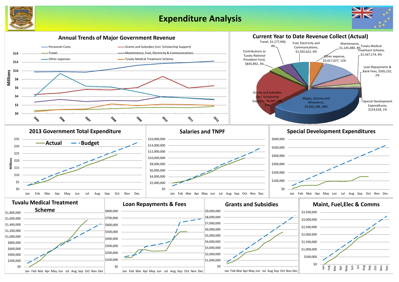## **Expenditure Analysis**





Jan Feb Mar Apr May Jun Jul Aug Sep Oct Nov Dec

Jan Feb Mar Apr May Jun Jul Aug Sep Oct Nov Dec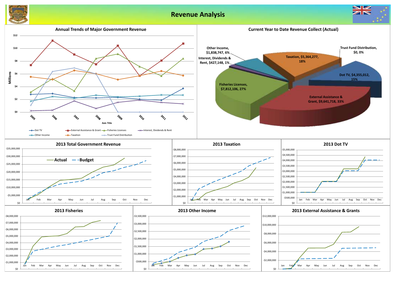### **Revenue Analysis**



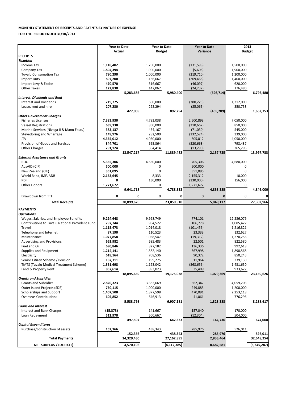### **MONTHLY STATEMENT OF RECEIPTS AND PAYENTS BY NATURE OF EXPENSE**

#### **FOR THE PERIOD ENDED 31/10/2013**

|                                                                                           | <b>Year to Date</b> |            | <b>Year to Date</b> |            | <b>Year to Date</b>   |              | 2013          |            |
|-------------------------------------------------------------------------------------------|---------------------|------------|---------------------|------------|-----------------------|--------------|---------------|------------|
|                                                                                           | Actual              |            | <b>Budget</b>       |            | Variance              |              | <b>Budget</b> |            |
| <b>RECEIPTS</b>                                                                           |                     |            |                     |            |                       |              |               |            |
| <b>Taxation</b>                                                                           |                     |            |                     |            |                       |              |               |            |
| Income Tax                                                                                | 1,118,402           |            | 1,250,000           |            | (131, 598)            |              | 1,500,000     |            |
| Company Tax                                                                               | 1,894,394           |            | 1,900,000           |            | (5,606)               |              | 1,900,000     |            |
| <b>Tuvalu Consumption Tax</b>                                                             | 780,290             |            | 1,000,000           |            | (219, 710)            |              | 1,200,000     |            |
| <b>Import Duty</b>                                                                        | 897,200             |            | 1,166,667           |            | (269, 466)            |              | 1,400,000     |            |
| Import Levy & Excise                                                                      | 470,570             |            | 516,667             |            | (46,097)              |              | 620,000       |            |
| <b>Other Taxes</b>                                                                        | 122,830             |            | 147,067             |            | (24, 237)             |              | 176,480       |            |
|                                                                                           |                     | 5,283,686  |                     | 5,980,400  |                       | (696, 714)   |               | 6,796,480  |
| <b>Interest, Dividends and Rent</b>                                                       |                     |            |                     |            |                       |              |               |            |
| <b>Interest and Dividends</b>                                                             | 219,775             |            | 600,000             |            | (380, 225)            |              | 1,312,000     |            |
| Lease, rent and hire                                                                      | 207,230             |            | 292,294             |            | (85,065)              |              | 350,753       |            |
|                                                                                           |                     | 427,005    |                     | 892,294    |                       | (465, 289)   |               | 1,662,753  |
| <b>Other Government Charges</b>                                                           |                     |            |                     |            |                       |              |               |            |
| <b>Fisheries Licenses</b>                                                                 | 7,383,930           |            | 4,783,038           |            | 2,600,893             |              | 7,050,000     |            |
| <b>Vessel Registrations</b>                                                               | 639,338             |            | 850,000             |            | (210, 662)            |              | 850,000       |            |
| Marine Services (Nivaga II & Manu Folau)                                                  | 383,137             |            | 454,167             |            | (71,030)              |              | 545,000       |            |
| Stevedoring and Wharfage                                                                  | 149,976             |            | 282,500             |            | (132, 524)            |              | 339,000       |            |
| .TV                                                                                       | 4,355,012           |            | 4,050,000           |            | 305,012               |              | 4,050,000     |            |
| Provision of Goods and Services                                                           | 344,701             |            | 665,364             |            | (320, 663)            |              | 798,437       |            |
| <b>Other Charges</b>                                                                      | 291,124             |            | 304,414             |            | (13, 290)             |              | 365,296       |            |
|                                                                                           |                     | 13,547,217 |                     | 11,389,482 |                       | 2,157,735    |               | 13,997,733 |
| <b>External Assistance and Grants</b>                                                     |                     |            |                     |            |                       |              |               |            |
| <b>ROC</b>                                                                                | 5,355,306           |            | 4,650,000           |            | 705,306               |              | 4,680,000     |            |
| AusAID (CIF)                                                                              | 500,000             |            | 0                   |            | 500,000               |              | 0             |            |
| New Zealand (CIF)                                                                         | 351,095             |            | $\mathbf 0$         |            | 351,095               |              | $\mathbf 0$   |            |
| World Bank, IMF, ADB                                                                      | 2,163,645           |            | 8,333               |            | 2,155,312             |              | 10,000        |            |
| <b>PDF</b>                                                                                | 0                   |            | 130,000             |            | (130,000)             |              | 156,000       |            |
| <b>Other Donors</b>                                                                       | 1,271,672           |            | 0                   |            | 1,271,672             |              | 0             |            |
|                                                                                           |                     | 9,641,718  |                     | 4,788,333  |                       | 4,853,385    |               | 4,846,000  |
|                                                                                           |                     |            |                     |            |                       |              |               |            |
| Drawdown from TTF                                                                         | 0                   | 0          | $\mathbf 0$         | 0          | 0                     | $\mathbf{0}$ | $\mathbf 0$   |            |
| <b>Total Receipts</b>                                                                     |                     | 28,899,626 |                     | 23,050,510 |                       | 5,849,117    |               | 27,302,966 |
| <b>PAYMENTS</b>                                                                           |                     |            |                     |            |                       |              |               |            |
|                                                                                           |                     |            |                     |            |                       |              |               |            |
| <b>Operations</b>                                                                         |                     |            |                     |            |                       |              |               |            |
| Wages, Salaries, and Employee Benefits<br>Contributions to Tuvalu National Provident Fund | 9,224,648           |            | 9,998,749           |            | 774,101               |              | 12,286,079    |            |
| Travel                                                                                    | 797,744             |            | 904,522             |            | 106,778<br>(101, 456) |              | 1,085,427     |            |
|                                                                                           | 1,115,473           |            | 1,014,018           |            |                       |              | 1,216,821     |            |
| Telephone and Internet<br>Maintenance                                                     | 87,190              |            | 110,523             |            | 23,333                |              | 132,627       |            |
|                                                                                           | 1,077,858           |            | 1,058,547           |            | (19, 312)             |              | 1,270,256     |            |
| Advertising and Provisions                                                                | 662,982             |            | 685,483             |            | 22,501                |              | 822,580       |            |
| Fuel and Oil                                                                              | 690,846             |            | 827,182             |            | 136,336               |              | 992,618       |            |
| Supplies and Equipment                                                                    | 1,214,141           |            | 1,582,140           |            | 367,998               |              | 1,898,568     |            |
| Electricity                                                                               | 618,164             |            | 708.536             |            | 90,372                |              | 850,243       |            |
| Senior Citizen Scheme / Pension                                                           | 187,311             |            | 199,275             |            | 11,964                |              | 239,130       |            |
| <b>TMTS (Tuvalu Medical Treatment Scheme)</b>                                             | 1,561,698           |            | 1,193,042           |            | (368, 656)            |              | 1,431,650     |            |
| Land & Property Rent                                                                      | 857,614             |            | 893,023             |            | 35,409                |              | 933,627       |            |
|                                                                                           |                     |            |                     |            |                       |              |               | 23,159,626 |
|                                                                                           |                     | 18,095,669 |                     | 19,175,038 |                       | 1,079,369    |               |            |
| <b>Grants and Subsidies</b>                                                               |                     |            |                     |            |                       |              |               |            |
| <b>Grants and Subsidies</b>                                                               | 2,820,323           |            | 3,382,669           |            | 562,347               |              | 4,059,203     |            |
| Outer Island Projects (SDE)                                                               | 750,115             |            | 1,000,000           |            | 249,885               |              | 1,200,000     |            |
| Scholarships and Support                                                                  | 1,407,508           |            | 1,877,598           |            | 470,091               |              | 2,253,118     |            |
| <b>Overseas Contributions</b>                                                             | 605,852             |            | 646,913             |            | 41,061                |              | 776,296       |            |
|                                                                                           |                     | 5,583,798  |                     | 6,907,181  |                       | 1,323,383    |               | 8,288,617  |
| <b>Loans and Interest</b>                                                                 |                     |            |                     |            |                       |              |               |            |
| Interest and Bank Charges                                                                 | (15, 373)           |            | 141,667             |            | 157,040               |              | 170,000       |            |
| Loan Repayment                                                                            | 512,970             |            | 500,667             |            | (12, 304)             |              | 504,000       |            |
|                                                                                           |                     | 497,597    |                     | 642,333    |                       | 144,736      |               | 674,000    |
|                                                                                           |                     |            |                     |            |                       |              |               |            |
| <b>Capital Expenditures</b><br>Purchase/construction of assets                            | 152,366             |            | 438,343             |            | 285,976               |              | 526,011       |            |
|                                                                                           |                     | 152,366    |                     | 438,343    |                       | 285,976      |               | 526,011    |
| <b>Total Payments</b>                                                                     |                     | 24,329,430 |                     | 27,162,895 |                       | 2,833,464    |               | 32,648,254 |